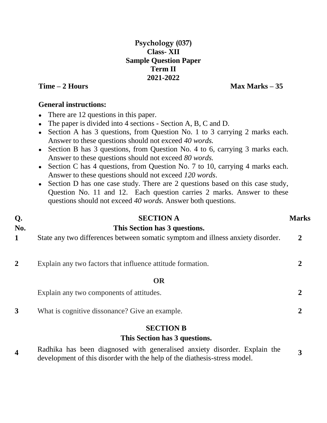# **Psychology (037) Class- XII Sample Question Paper Term II 2021-2022**

# **Time – 2 Hours** Max Marks – 35

# **General instructions:**

- There are 12 questions in this paper.
- The paper is divided into 4 sections Section A, B, C and D.
- Section A has 3 questions, from Question No. 1 to 3 carrying 2 marks each. Answer to these questions should not exceed *40 words.*
- Section B has 3 questions, from Question No. 4 to 6, carrying 3 marks each. Answer to these questions should not exceed *80 words.*
- Section C has 4 questions, from Question No. 7 to 10, carrying 4 marks each. Answer to these questions should not exceed *120 words*.
- Section D has one case study. There are 2 questions based on this case study, Question No. 11 and 12. Each question carries 2 marks. Answer to these questions should not exceed *40 words.* Answer both questions.

#### **Q. No. SECTION A This Section has 3 questions. 1** State any two differences between somatic symptom and illness anxiety disorder. **2**

**2** Explain any two factors that influence attitude formation. **2**

# **OR**

| Explain any two components of attitudes.       |  |
|------------------------------------------------|--|
| What is cognitive dissonance? Give an example. |  |

# **SECTION B**

# **This Section has 3 questions.**

**4** Radhika has been diagnosed with generalised anxiety disorder. Explain the development of this disorder with the help of the diathesis-stress model. **3**

# **Marks**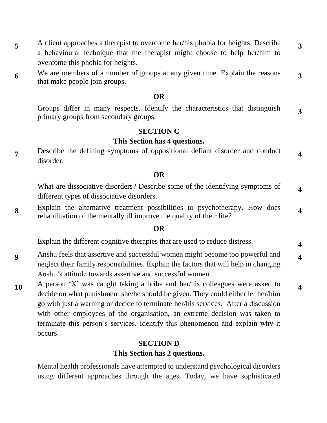- **5** A client approaches a therapist to overcome her/his phobia for heights. Describe a behavioural technique that the therapist might choose to help her/him to overcome this phobia for heights. **3**
- **6** We are members of a number of groups at any given time. Explain the reasons that make people join groups. **3**

#### **OR**

Groups differ in many respects. Identify the characteristics that distinguish primary groups from secondary groups. **3**

#### **SECTION C**

# **This Section has 4 questions.**

**7** Describe the defining symptoms of oppositional defiant disorder and conduct disorder. **4**

#### **OR**

What are dissociative disorders? Describe some of the identifying symptoms of different types of dissociative disorders. **4**

**8** Explain the alternative treatment possibilities to psychotherapy. How does rehabilitation of the mentally ill improve the quality of their life? **4**

#### **OR**

Explain the different cognitive therapies that are used to reduce distress. **<sup>4</sup>**

**9** Anshu feels that assertive and successful women might become too powerful and neglect their family responsibilities. Explain the factors that will help in changing Anshu's attitude towards assertive and successful women. **4**

**4**

**10** A person 'X' was caught taking a bribe and her/his colleagues were asked to decide on what punishment she/he should be given. They could either let her/him go with just a warning or decide to terminate her/his services. After a discussion with other employees of the organisation, an extreme decision was taken to terminate this person's services. Identify this phenomenon and explain why it occurs.

# **SECTION D This Section has 2 questions.**

Mental health professionals have attempted to understand psychological disorders using different approaches through the ages. Today, we have sophisticated